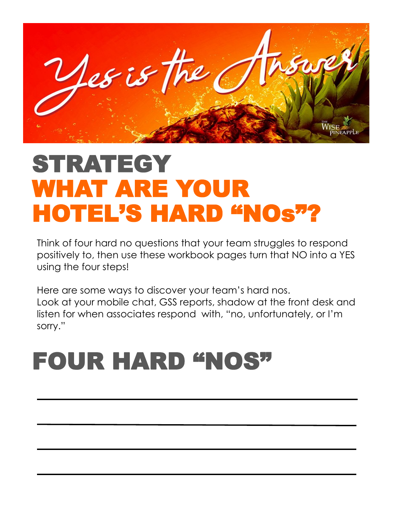

# STRATEGY WHAT ARE YOUR HOTEL'S HARD "NOs"?

Think of four hard no questions that your team struggles to respond positively to, then use these workbook pages turn that NO into a YES using the four steps!

Here are some ways to discover your team's hard nos. Look at your mobile chat, GSS reports, shadow at the front desk and listen for when associates respond with, "no, unfortunately, or I'm sorry."

# FOUR HARD "NOS"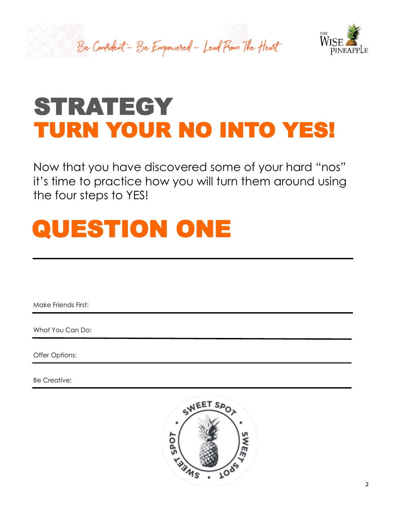



Now that you have discovered some of your hard "nos" it's time to practice how you will turn them around using the four steps to YES!



Make Friends First:

What You Can Do:

Offer Options:

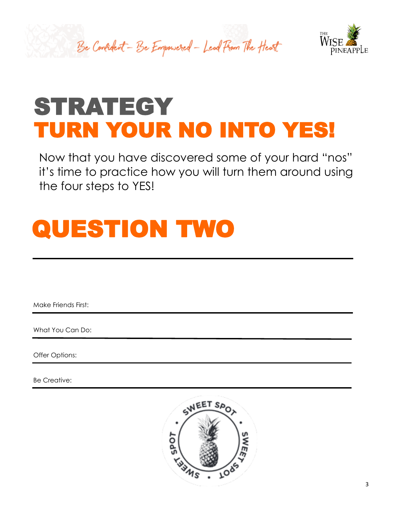



Now that you have discovered some of your hard "nos" it's time to practice how you will turn them around using the four steps to YES!



Make Friends First:

What You Can Do:

Offer Options:

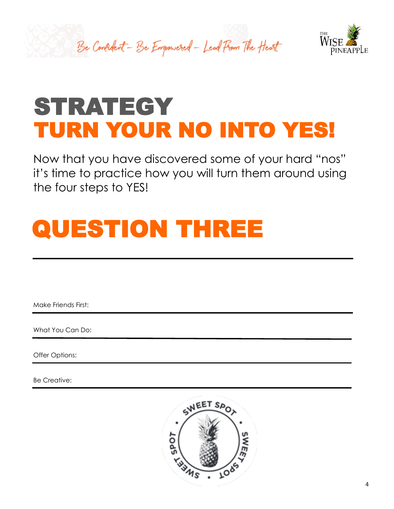



Now that you have discovered some of your hard "nos" it's time to practice how you will turn them around using the four steps to YES!

# QUESTION THREE

Make Friends First:

What You Can Do:

Offer Options:

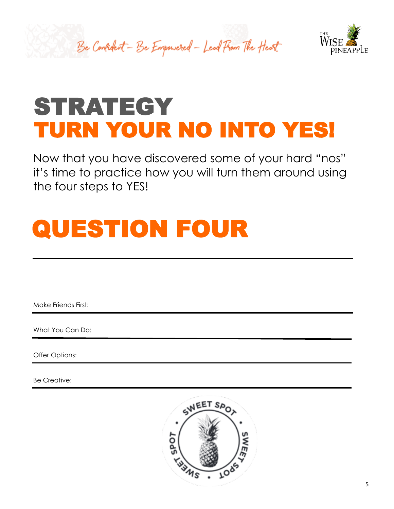



Now that you have discovered some of your hard "nos" it's time to practice how you will turn them around using the four steps to YES!



Make Friends First:

What You Can Do:

Offer Options:

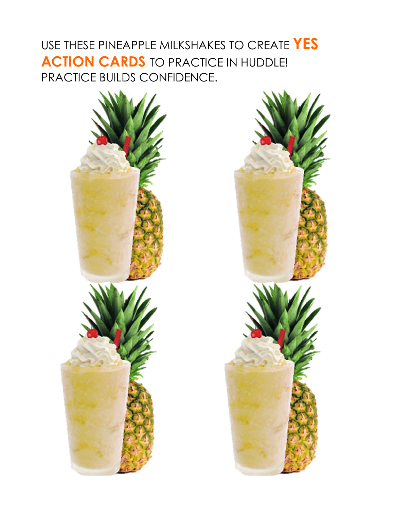#### USE THESE PINEAPPLE MILKSHAKES TO CREATE **YES ACTION CARDS** TO PRACTICE IN HUDDLE! PRACTICE BUILDS CONFIDENCE.



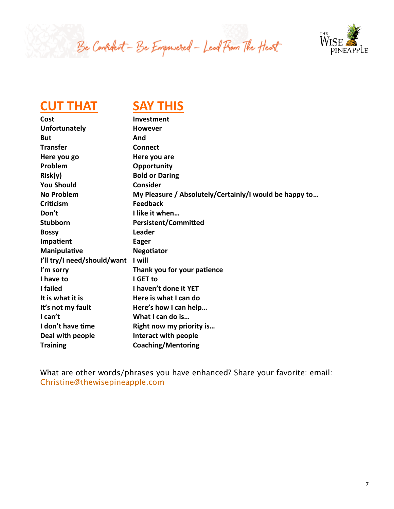



#### **CUT THAT SAY THIS**

| Cost                        | <b>Investment</b>                                      |
|-----------------------------|--------------------------------------------------------|
| <b>Unfortunately</b>        | <b>However</b>                                         |
| <b>But</b>                  | And                                                    |
| <b>Transfer</b>             | <b>Connect</b>                                         |
| Here you go                 | Here you are                                           |
| Problem                     | Opportunity                                            |
| Risk(y)                     | <b>Bold or Daring</b>                                  |
| <b>You Should</b>           | <b>Consider</b>                                        |
| <b>No Problem</b>           | My Pleasure / Absolutely/Certainly/I would be happy to |
| Criticism                   | <b>Feedback</b>                                        |
| Don't                       | I like it when                                         |
| <b>Stubborn</b>             | <b>Persistent/Committed</b>                            |
| <b>Bossy</b>                | <b>Leader</b>                                          |
| Impatient                   | <b>Eager</b>                                           |
| Manipulative                | <b>Negotiator</b>                                      |
| I'll try/I need/should/want | I will                                                 |
| I'm sorry                   | Thank you for your patience                            |
| I have to                   | I GET to                                               |
| I failed                    | I haven't done it YET                                  |
| It is what it is            | Here is what I can do                                  |
| It's not my fault           | Here's how I can help                                  |
| I can't                     | What I can do is                                       |
| I don't have time           | Right now my priority is                               |
| Deal with people            | Interact with people                                   |
| <b>Training</b>             | <b>Coaching/Mentoring</b>                              |

What are other words/phrases you have enhanced? Share your favorite: email: [Christine@thewisepineapple.com](mailto:Christine@thewisepineapple.com)